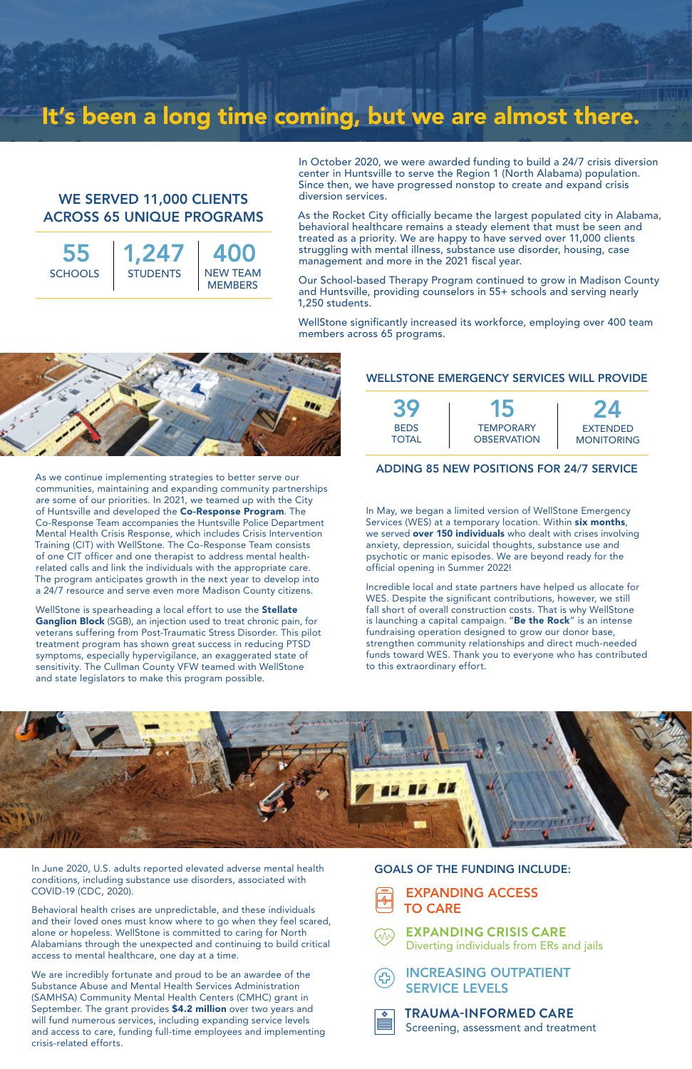In October 2020, we were awarded funding to build a 24/7 crisis diversion center in Huntsville to serve the Region 1 (North Alabama) population. Since then, we have progressed nonstop to create and expand crisis diversion services.

As the Rocket City officially became the largest populated city in Alabama, behavioral healthcare remains a steady element that must be seen and treated as a priority. We are happy to have served over 11,000 clients struggling with mental illness, substance use disorder, housing, case management and more in the 2021 fiscal year.

Our School-based Therapy Program continued to grow in Madison County and Huntsville, providing counselors in 55+ schools and serving nearly 1,250 students.

WellStone significantly increased its workforce, employing over 400 team members across 65 programs.



# It's been a long time coming, but we are almost there.

In June 2020, U.S. adults reported elevated adverse mental health conditions, including substance use disorders, associated with COVID-19 (CDC, 2020).

Behavioral health crises are unpredictable, and these individuals and their loved ones must know where to go when they feel scared, alone or hopeless. WellStone is committed to caring for North Alabamians through the unexpected and continuing to build critical access to mental healthcare, one day at a time.

We are incredibly fortunate and proud to be an awardee of the Substance Abuse and Mental Health Services Administration (SAMHSA) Community Mental Health Centers (CMHC) grant in September. The grant provides \$4.2 million over two years and will fund numerous services, including expanding service levels and access to care, funding full-time employees and implementing crisis-related efforts.

#### WELLSTONE EMERGENCY SERVICES WILL PROVIDE



#### ADDING 85 NEW POSITIONS FOR 24/7 SERVICE





### INCREASING OUTPATIENT SERVICE LEVELS



## **EXPANDING CRISIS CARE**

Diverting individuals from ERs and jails



WellStone is spearheading a local effort to use the **Stellate** Ganglion Block (SGB), an injection used to treat chronic pain, for veterans suffering from Post-Traumatic Stress Disorder. This pilot treatment program has shown great success in reducing PTSD symptoms, especially hypervigilance, an exaggerated state of sensitivity. The Cullman County VFW teamed with WellStone and state legislators to make this program possible.

55 **SCHOOLS** 

#### GOALS OF THE FUNDING INCLUDE:

#### **TRAUMA-INFORMED CARE**  Screening, assessment and treatment

In May, we began a limited version of WellStone Emergency Services (WES) at a temporary location. Within six months, we served **over 150 individuals** who dealt with crises involving anxiety, depression, suicidal thoughts, substance use and psychotic or manic episodes. We are beyond ready for the official opening in Summer 2022!

Incredible local and state partners have helped us allocate for WES. Despite the significant contributions, however, we still fall short of overall construction costs. That is why WellStone is launching a capital campaign. "Be the Rock" is an intense fundraising operation designed to grow our donor base, strengthen community relationships and direct much-needed funds toward WES. Thank you to everyone who has contributed to this extraordinary effort.



As we continue implementing strategies to better serve our communities, maintaining and expanding community partnerships are some of our priorities. In 2021, we teamed up with the City of Huntsville and developed the Co-Response Program. The Co-Response Team accompanies the Huntsville Police Department Mental Health Crisis Response, which includes Crisis Intervention Training (CIT) with WellStone. The Co-Response Team consists of one CIT officer and one therapist to address mental healthrelated calls and link the individuals with the appropriate care. The program anticipates growth in the next year to develop into a 24/7 resource and serve even more Madison County citizens.

# WE SERVED 11,000 CLIENTS ACROSS 65 UNIQUE PROGRAMS

1,247 STUDENTS | NEW TEAM **MEMBERS** 400